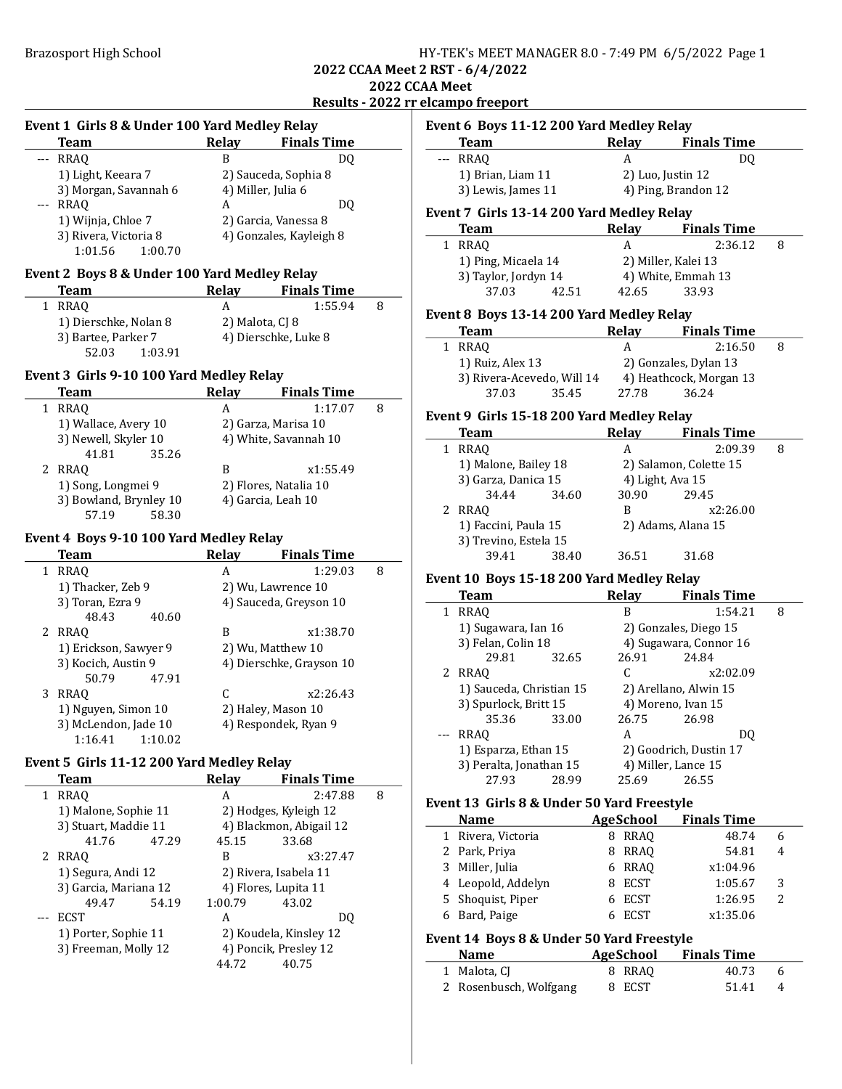Event 1 Girls 8 & Under 100 Yard Medley Relay

### Brazosport High School **HY-TEK's MEET MANAGER 8.0 - 7:49 PM 6/5/2022** Page 1

2022 CCAA Meet 2 RST - 6/4/2022 2022 CCAA Meet

# Results - 2022 rr elcampo freeport

|   | <b>Team</b>                                  | Relay           | <b>Finals Time</b>                            |   |
|---|----------------------------------------------|-----------------|-----------------------------------------------|---|
|   | RRAQ                                         | B               | DO.                                           |   |
|   | 1) Light, Keeara 7                           |                 | 2) Sauceda, Sophia 8                          |   |
|   | 3) Morgan, Savannah 6                        |                 | 4) Miller, Julia 6                            |   |
|   | --- RRAQ                                     | A               | DQ                                            |   |
|   | 1) Wijnja, Chloe 7                           |                 | 2) Garcia, Vanessa 8                          |   |
|   | 3) Rivera, Victoria 8                        |                 | 4) Gonzales, Kayleigh 8                       |   |
|   | 1:01.56<br>1:00.70                           |                 |                                               |   |
|   | Event 2 Boys 8 & Under 100 Yard Medley Relay |                 |                                               |   |
|   | Team                                         | Relay           | <b>Finals Time</b>                            |   |
| 1 | RRAQ                                         | A               | 1:55.94                                       | 8 |
|   |                                              |                 |                                               |   |
|   | 1) Dierschke, Nolan 8<br>3) Bartee, Parker 7 | 2) Malota, CJ 8 |                                               |   |
|   | 52.03<br>1:03.91                             |                 | 4) Dierschke, Luke 8                          |   |
|   |                                              |                 |                                               |   |
|   | Event 3 Girls 9-10 100 Yard Medley Relay     |                 |                                               |   |
|   | <b>Team</b>                                  | Relay           | <b>Finals Time</b>                            |   |
| 1 | <b>RRAQ</b>                                  | A               | 1:17.07                                       | 8 |
|   | 1) Wallace, Avery 10                         |                 | 2) Garza, Marisa 10                           |   |
|   | 3) Newell, Skyler 10                         |                 | 4) White, Savannah 10                         |   |
|   | 35.26<br>41.81                               |                 |                                               |   |
| 2 | <b>RRAQ</b>                                  | B               | x1:55.49                                      |   |
|   | 1) Song, Longmei 9                           |                 | 2) Flores, Natalia 10                         |   |
|   | 3) Bowland, Brynley 10                       |                 | 4) Garcia, Leah 10                            |   |
|   | 57.19<br>58.30                               |                 |                                               |   |
|   | Event 4 Boys 9-10 100 Yard Medley Relay      |                 |                                               |   |
|   | <b>Team</b>                                  | Relay           | <b>Finals Time</b>                            |   |
| 1 | RRAQ                                         | A               | 1:29.03                                       | 8 |
|   | 1) Thacker, Zeb 9                            |                 | 2) Wu, Lawrence 10                            |   |
|   | 3) Toran, Ezra 9                             |                 | 4) Sauceda, Greyson 10                        |   |
|   | 48.43<br>40.60                               |                 |                                               |   |
| 2 | RRAQ                                         | B               | x1:38.70                                      |   |
|   | 1) Erickson, Sawyer 9                        |                 | 2) Wu, Matthew 10                             |   |
|   | 3) Kocich, Austin 9                          |                 | 4) Dierschke, Grayson 10                      |   |
|   | 50.79<br>47.91                               |                 |                                               |   |
| 3 | RRAQ                                         | C               | x2:26.43                                      |   |
|   | 1) Nguyen, Simon 10                          |                 | 2) Haley, Mason 10                            |   |
|   | 3) McLendon, Jade 10                         |                 | 4) Respondek, Ryan 9                          |   |
|   | 1:16.41<br>1:10.02                           |                 |                                               |   |
|   | Event 5 Girls 11-12 200 Yard Medley Relay    |                 |                                               |   |
|   | <b>Team</b>                                  | <b>Relay</b>    | <b>Finals Time</b>                            |   |
| 1 | <b>RRAQ</b>                                  | A               | 2:47.88                                       | 8 |
|   | 1) Malone, Sophie 11                         |                 | 2) Hodges, Kyleigh 12                         |   |
|   | 3) Stuart, Maddie 11                         |                 | 4) Blackmon, Abigail 12                       |   |
|   | 41.76<br>47.29                               | 45.15           | 33.68                                         |   |
| 2 | <b>RRAQ</b>                                  | B               | x3:27.47                                      |   |
|   |                                              |                 |                                               |   |
|   | 1) Segura, Andi 12<br>3) Garcia, Mariana 12  |                 | 2) Rivera, Isabela 11<br>4) Flores, Lupita 11 |   |
|   |                                              |                 |                                               |   |
|   | 49.47<br>54.19                               | 1:00.79<br>A    | 43.02                                         |   |
|   | <b>ECST</b>                                  |                 | DQ                                            |   |
|   | 1) Porter, Sophie 11                         |                 | 2) Koudela, Kinsley 12                        |   |
|   | 3) Freeman, Molly 12                         |                 | 4) Poncik, Presley 12                         |   |
|   |                                              | 44.72           | 40.75                                         |   |

|     | <u>eicampo ireeport</u>                    |                          |                              |   |
|-----|--------------------------------------------|--------------------------|------------------------------|---|
|     | Event 6 Boys 11-12 200 Yard Medley Relay   |                          |                              |   |
|     | <b>Team</b>                                | Relay                    | <b>Finals Time</b>           |   |
|     | --- RRAQ                                   | A                        | DQ                           |   |
|     | 1) Brian, Liam 11                          | 2) Luo, Justin 12        |                              |   |
|     | 3) Lewis, James 11                         |                          | 4) Ping, Brandon 12          |   |
|     |                                            |                          |                              |   |
|     | Event 7 Girls 13-14 200 Yard Medley Relay  |                          |                              |   |
|     | <b>Team</b>                                |                          | Relay Finals Time            |   |
|     | 1 RRAQ                                     | A                        | 2:36.12                      | 8 |
|     | 1) Ping, Micaela 14                        |                          | 2) Miller, Kalei 13          |   |
|     | 3) Taylor, Jordyn 14<br>42.51              |                          | 4) White, Emmah 13           |   |
|     | 37.03                                      | 42.65                    | 33.93                        |   |
|     | Event 8 Boys 13-14 200 Yard Medley Relay   |                          |                              |   |
|     | Team                                       |                          | Relay Finals Time            |   |
|     | 1 RRAQ                                     | A                        | 2:16.50                      | 8 |
|     | 1) Ruiz, Alex 13                           |                          | 2) Gonzales, Dylan 13        |   |
|     | 3) Rivera-Acevedo, Will 14                 |                          | 4) Heathcock, Morgan 13      |   |
|     | 37.03<br>35.45                             | 27.78                    | 36.24                        |   |
|     | Event 9 Girls 15-18 200 Yard Medley Relay  |                          |                              |   |
|     | <b>Team</b>                                | Relay                    | <b>Finals Time</b>           |   |
|     | 1 RRAQ                                     | A                        | 2:09.39                      | 8 |
|     | 1) Malone, Bailey 18                       |                          | 2) Salamon, Colette 15       |   |
|     | 3) Garza, Danica 15                        | 4) Light, Ava 15         |                              |   |
|     | 34.44<br>34.60                             | 30.90                    | 29.45                        |   |
|     | 2 RRAQ                                     | B                        | x2:26.00                     |   |
|     | 1) Faccini, Paula 15                       |                          | 2) Adams, Alana 15           |   |
|     | 3) Trevino, Estela 15                      |                          |                              |   |
|     | 39.41<br>38.40                             | 36.51                    | 31.68                        |   |
|     |                                            |                          |                              |   |
|     | Event 10 Boys 15-18 200 Yard Medley Relay  |                          |                              |   |
|     | <b>Team</b>                                | Relay                    | <b>Finals Time</b>           |   |
|     | 1 RRAQ                                     | B                        | 1:54.21                      | 8 |
|     | 1) Sugawara, Ian 16                        |                          | 2) Gonzales, Diego 15        |   |
|     | 3) Felan, Colin 18                         |                          | 4) Sugawara, Connor 16       |   |
|     | 29.81<br>32.65                             | 26.91                    | 24.84                        |   |
|     | 2 RRAQ                                     | C                        | x2:02.09                     |   |
|     | 1) Sauceda, Christian 15                   |                          | 2) Arellano, Alwin 15        |   |
|     | 3) Spurlock, Britt 15                      |                          | 4) Moreno, Ivan 15           |   |
|     | 35.36 33.00                                | 26.75 26.98<br>A         |                              |   |
| --- | RRAQ                                       |                          | DQ                           |   |
|     | 1) Esparza, Ethan 15                       |                          | 2) Goodrich, Dustin 17       |   |
|     | 3) Peralta, Jonathan 15<br>27.93<br>28.99  | 25.69                    | 4) Miller, Lance 15<br>26.55 |   |
|     |                                            |                          |                              |   |
|     | Event 13 Girls 8 & Under 50 Yard Freestyle |                          |                              |   |
|     | Name                                       | <b>AgeSchool</b>         | <b>Finals Time</b>           |   |
|     | 1 Rivera, Victoria                         | 8 RRAQ                   | 48.74                        | 6 |
|     | 2 Park, Priya                              | 8 RRAQ                   | 54.81                        | 4 |
|     | 3 Miller, Julia                            | 6 RRAQ                   | x1:04.96                     |   |
|     | 4 Leopold, Addelyn                         | 8 ECST                   | 1:05.67                      | 3 |
|     | 5 Shoquist, Piper                          | 6 ECST                   | 1:26.95                      | 2 |
| 6   | Bard, Paige                                | 6 ECST                   | x1:35.06                     |   |
|     | Event 14 Boys 8 & Under 50 Yard Freestyle  |                          |                              |   |
|     | Name                                       | <b>AgeSchool</b>         | <b>Finals Time</b>           |   |
|     |                                            | 8.                       | 40.73                        | 6 |
|     | 1 Malota, CJ                               | RRAQ<br><b>ECST</b><br>8 | 51.41                        | 4 |
|     | 2 Rosenbusch, Wolfgang                     |                          |                              |   |
|     |                                            |                          |                              |   |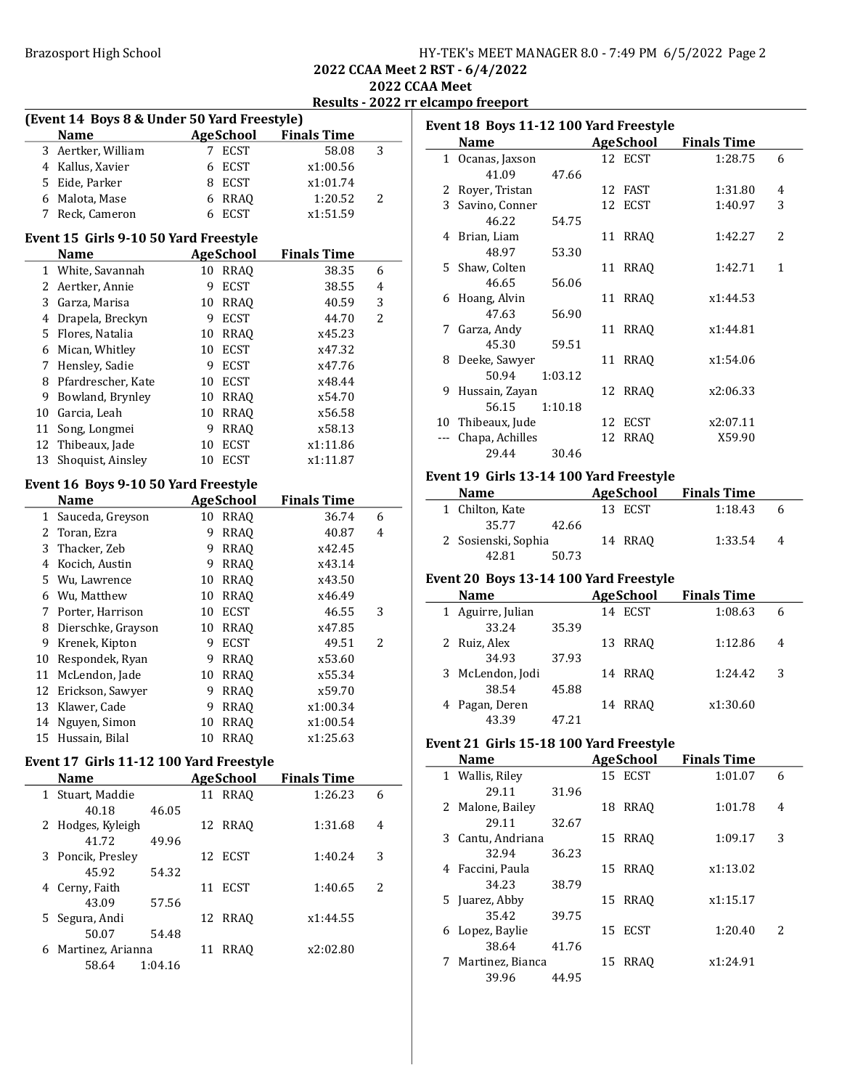| HY-TEK's MEET MANAGER 8.0 - 7:49 PM 6/5/2022 Page 2 |  |  |
|-----------------------------------------------------|--|--|
|-----------------------------------------------------|--|--|

2022 CCAA Meet 2 RST - 6/4/2022 2022 CCAA Meet

Results - 2022 rr elcampo freeport

|              | (Event 14 Boys 8 & Under 50 Yard Freestyle) |             |                             |                    |                |
|--------------|---------------------------------------------|-------------|-----------------------------|--------------------|----------------|
|              | <b>Name</b>                                 |             | <b>AgeSchool</b>            | <b>Finals Time</b> |                |
| 3            | Aertker, William                            | 7           | <b>ECST</b>                 | 58.08              | 3              |
|              | 4 Kallus, Xavier                            | 6           | <b>ECST</b>                 | x1:00.56           |                |
|              | 5 Eide, Parker                              |             | 8 ECST                      | x1:01.74           |                |
|              | 6 Malota, Mase                              |             | 6 RRAQ                      | 1:20.52            | 2              |
| 7            | Reck, Cameron                               | 6           | <b>ECST</b>                 | x1:51.59           |                |
|              | Event 15 Girls 9-10 50 Yard Freestyle       |             |                             |                    |                |
|              | Name                                        |             | <b>AgeSchool</b>            | <b>Finals Time</b> |                |
| $\mathbf{1}$ | White, Savannah                             |             | 10 RRAQ                     | 38.35              | 6              |
| $\mathbf{2}$ | Aertker, Annie                              | 9           | <b>ECST</b>                 | 38.55              | 4              |
|              | 3 Garza, Marisa                             | 10          | <b>RRAQ</b>                 | 40.59              | 3              |
|              | 4 Drapela, Breckyn                          | 9           | <b>ECST</b>                 | 44.70              | $\overline{2}$ |
|              | 5 Flores, Natalia                           |             | 10 RRAQ                     | x45.23             |                |
|              | 6 Mican, Whitley                            |             | 10 ECST                     | x47.32             |                |
|              | 7 Hensley, Sadie                            |             | 9 ECST                      | x47.76             |                |
|              | 8 Pfardrescher, Kate                        |             | 10 ECST                     | x48.44             |                |
|              | 9 Bowland, Brynley                          |             | 10 RRAQ                     | x54.70             |                |
|              | 10 Garcia, Leah                             |             | 10 RRAQ                     | x56.58             |                |
| 11           | Song, Longmei                               | 9           | <b>RRAQ</b>                 | x58.13             |                |
| 12           | Thibeaux, Jade                              | 10          | <b>ECST</b>                 | x1:11.86           |                |
| 13           | Shoquist, Ainsley                           | 10          | <b>ECST</b>                 | x1:11.87           |                |
|              | Event 16 Boys 9-10 50 Yard Freestyle        |             |                             |                    |                |
|              | <b>Name</b>                                 |             | <b>AgeSchool</b>            | <b>Finals Time</b> |                |
| 1            | Sauceda, Greyson                            |             | 10 RRAQ                     | 36.74              | 6              |
|              | 2 Toran, Ezra                               | 9           | <b>RRAQ</b>                 | 40.87              | 4              |
|              | 3 Thacker, Zeb                              | 9           | <b>RRAQ</b>                 | x42.45             |                |
|              | 4 Kocich, Austin                            |             | 9 RRAQ                      | x43.14             |                |
|              | 5 Wu, Lawrence                              |             | 10 RRAQ                     | x43.50             |                |
|              | 6 Wu, Matthew                               |             | 10 RRAQ                     | x46.49             |                |
|              | 7 Porter, Harrison                          |             | 10 ECST                     | 46.55              | 3              |
| 8            | Dierschke, Grayson                          |             | 10 RRAQ                     | x47.85             |                |
| 9            | Krenek, Kipton                              | 9           | <b>ECST</b>                 | 49.51              | 2              |
| 10           | Respondek, Ryan                             | 9.          | <b>RRAQ</b>                 | x53.60             |                |
| 11           | McLendon, Jade                              | 10          | RRAQ                        | x55.34             |                |
| 12           | Erickson, Sawyer                            | 9           | <b>RRAQ</b>                 | x59.70             |                |
| 13           | Klawer, Cade                                | 9           | <b>RRAQ</b>                 | x1:00.34           |                |
| 14           | Nguyen, Simon                               | 10          | <b>RRAQ</b>                 | x1:00.54           |                |
|              | 15 Hussain, Bilal                           |             | 10 RRAQ                     | x1:25.63           |                |
|              |                                             |             |                             |                    |                |
|              | Event 17 Girls 11-12 100 Yard Freestyle     |             |                             |                    |                |
| 1            | <b>Name</b>                                 |             | <b>AgeSchool</b><br>11 RRAQ | <b>Finals Time</b> | 6              |
|              | Stuart, Maddie                              |             |                             | 1:26.23            |                |
| 2            | 40.18<br>Hodges, Kyleigh                    | 46.05<br>12 | <b>RRAQ</b>                 |                    | 4              |
|              | 41.72                                       |             |                             | 1:31.68            |                |
| 3            | Poncik, Presley                             | 49.96<br>12 | <b>ECST</b>                 | 1:40.24            | 3              |
|              | 45.92                                       | 54.32       |                             |                    |                |
| 4            | Cerny, Faith                                | 11          | <b>ECST</b>                 | 1:40.65            | 2              |
|              | 43.09                                       | 57.56       |                             |                    |                |
| 5            | Segura, Andi                                |             | 12 RRAQ                     |                    |                |
|              | 50.07                                       | 54.48       |                             | x1:44.55           |                |
| 6            | Martinez, Arianna                           | 11          | <b>RRAQ</b>                 | x2:02.80           |                |
|              | 58.64<br>1:04.16                            |             |                             |                    |                |
|              |                                             |             |                             |                    |                |

| Event 18 Boys 11-12 100 Yard Freestyle |                  |         |    |           |                    |                          |
|----------------------------------------|------------------|---------|----|-----------|--------------------|--------------------------|
|                                        | <b>Name</b>      |         |    | AgeSchool | <b>Finals Time</b> |                          |
|                                        | 1 Ocanas, Jaxson |         |    | 12 ECST   | 1:28.75            | 6                        |
|                                        | 41.09            | 47.66   |    |           |                    |                          |
|                                        | 2 Royer, Tristan |         |    | 12 FAST   | 1:31.80            | 4                        |
|                                        | 3 Savino, Conner |         |    | 12 ECST   | 1:40.97            | 3                        |
|                                        | 46.22            | 54.75   |    |           |                    |                          |
|                                        | 4 Brian, Liam    |         |    | 11 RRAQ   | 1:42.27            | $\overline{\mathcal{L}}$ |
|                                        | 48.97            | 53.30   |    |           |                    |                          |
|                                        | 5 Shaw, Colten   |         |    | 11 RRAQ   | 1:42.71            | 1                        |
|                                        | 46.65            | 56.06   |    |           |                    |                          |
| 6                                      | Hoang, Alvin     |         |    | 11 RRAO   | x1:44.53           |                          |
|                                        | 47.63            | 56.90   |    |           |                    |                          |
| 7                                      | Garza, Andy      |         |    | 11 RRAO   | x1:44.81           |                          |
|                                        | 45.30            | 59.51   |    |           |                    |                          |
| 8                                      | Deeke, Sawyer    |         |    | 11 RRAO   | x1:54.06           |                          |
|                                        | 50.94            | 1:03.12 |    |           |                    |                          |
| 9                                      | Hussain, Zayan   |         |    | 12 RRAQ   | x2:06.33           |                          |
|                                        | 56.15            | 1:10.18 |    |           |                    |                          |
| 10                                     | Thibeaux, Jude   |         | 12 | ECST      | x2:07.11           |                          |
|                                        | Chapa, Achilles  |         | 12 | RRAQ      | X59.90             |                          |
|                                        | 29.44            | 30.46   |    |           |                    |                          |

# Event 19 Girls 13-14 100 Yard Freestyle

| <b>Name</b>         | AgeSchool | <b>Finals Time</b> |   |
|---------------------|-----------|--------------------|---|
| 1 Chilton, Kate     | 13 ECST   | 1:18.43            | h |
| 35.77<br>42.66      |           |                    |   |
| 2 Sosienski, Sophia | 14 RRAO   | 1:33.54            | 4 |
| 42.81<br>50.73      |           |                    |   |

#### Event 20 Boys 13-14 100 Yard Freestyle

| <b>Name</b>       |       | <b>AgeSchool</b> | <b>Finals Time</b> |   |
|-------------------|-------|------------------|--------------------|---|
| 1 Aguirre, Julian |       | 14 ECST          | 1:08.63            | 6 |
| 33.24             | 35.39 |                  |                    |   |
| 2 Ruiz, Alex      |       | 13 RRAO          | 1:12.86            | 4 |
| 34.93             | 37.93 |                  |                    |   |
| 3 McLendon, Jodi  |       | 14 RRAO          | 1:24.42            | 3 |
| 38.54             | 45.88 |                  |                    |   |
| 4 Pagan, Deren    |       | 14 RRAO          | x1:30.60           |   |
| 43.39             | 47.21 |                  |                    |   |

# Event 21 Girls 15-18 100 Yard Freestyle

| <b>Name</b>       |       |    | AgeSchool | <b>Finals Time</b> |   |
|-------------------|-------|----|-----------|--------------------|---|
| 1 Wallis, Riley   |       |    | 15 ECST   | 1:01.07            | 6 |
| 29.11             | 31.96 |    |           |                    |   |
| 2 Malone, Bailey  |       | 18 | RRAO      | 1:01.78            | 4 |
| 29.11             | 32.67 |    |           |                    |   |
| 3 Cantu, Andriana |       |    | 15 RRAO   | 1:09.17            | 3 |
| 32.94             | 36.23 |    |           |                    |   |
| 4 Faccini, Paula  |       |    | 15 RRAO   | x1:13.02           |   |
| 34.23             | 38.79 |    |           |                    |   |
| 5 Juarez, Abby    |       |    | 15 RRAO   | x1:15.17           |   |
| 35.42             | 39.75 |    |           |                    |   |
| 6 Lopez, Baylie   |       |    | 15 ECST   | 1:20.40            | 2 |
| 38.64             | 41.76 |    |           |                    |   |
| Martinez, Bianca  |       | 15 | RRAO      | x1:24.91           |   |
| 39.96             | 44.95 |    |           |                    |   |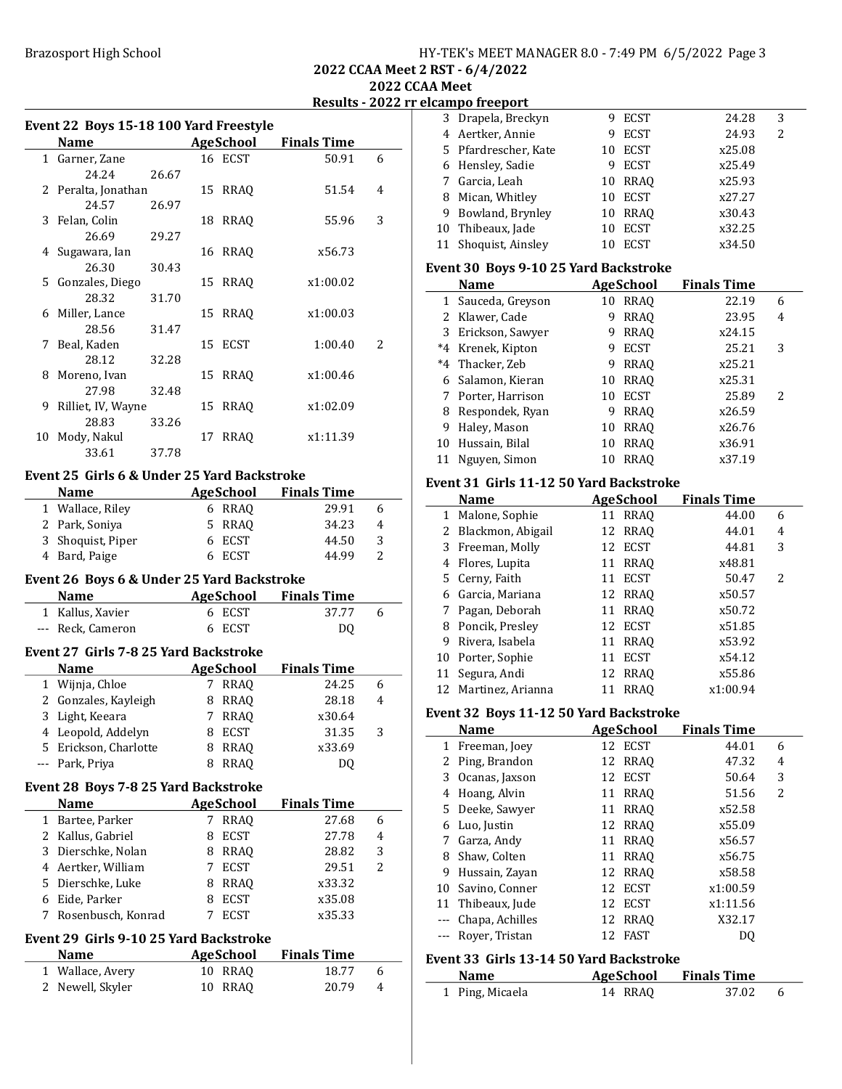### Brazosport High School School HY-TEK's MEET MANAGER 8.0 - 7:49 PM 6/5/2022 Page 3

3 24.28 3 Drapela, Breckyn 9 ECST 4 24.93 2 Aertker, Annie 9 ECST

2022 CCAA Meet 2 RST - 6/4/2022 2022 CCAA Meet

Results - 2022 rr elcampo freeport

 $\overline{a}$ 

|              |                                               |    |                  | ESUILS                       | $-20221$       |
|--------------|-----------------------------------------------|----|------------------|------------------------------|----------------|
|              | Event 22 Boys 15-18 100 Yard Freestyle        |    |                  |                              |                |
|              | <b>Name</b>                                   |    |                  | <b>AgeSchool</b> Finals Time |                |
|              | 1 Garner, Zane                                |    | 16 ECST          | 50.91                        | 6              |
|              | 24.24<br>26.67                                |    |                  |                              |                |
|              | 2 Peralta, Jonathan                           | 15 | <b>RRAQ</b>      | 51.54                        | 4              |
|              | 24.57<br>26.97                                |    |                  |                              |                |
| 3            | Felan, Colin                                  | 18 | <b>RRAQ</b>      | 55.96                        | 3              |
|              | 26.69<br>29.27                                |    |                  |                              |                |
| 4            | Sugawara, Ian                                 | 16 | RRAQ             | x56.73                       |                |
|              | 26.30<br>30.43                                |    |                  |                              |                |
| 5            | Gonzales, Diego                               | 15 | <b>RRAQ</b>      | x1:00.02                     |                |
|              | 28.32<br>31.70                                |    |                  |                              |                |
| 6            | Miller, Lance                                 | 15 | <b>RRAQ</b>      | x1:00.03                     |                |
|              | 28.56<br>31.47                                |    |                  |                              |                |
| 7            | Beal, Kaden                                   | 15 | ECST             | 1:00.40                      | 2              |
|              | 28.12<br>32.28                                |    |                  |                              |                |
| 8            | Moreno, Ivan                                  | 15 | <b>RRAQ</b>      | x1:00.46                     |                |
|              | 27.98<br>32.48                                |    |                  |                              |                |
| 9            | Rilliet, IV, Wayne                            | 15 | <b>RRAQ</b>      | x1:02.09                     |                |
|              | 28.83<br>33.26                                |    |                  |                              |                |
| 10           | Mody, Nakul                                   | 17 | <b>RRAQ</b>      | x1:11.39                     |                |
|              | 33.61<br>37.78                                |    |                  |                              |                |
|              | Event 25 Girls 6 & Under 25 Yard Backstroke   |    |                  |                              |                |
|              | <b>Name</b>                                   |    | <b>AgeSchool</b> | <b>Finals Time</b>           |                |
|              | 1 Wallace, Riley                              |    | 6 RRAQ           | 29.91                        | 6              |
|              | 2 Park, Soniya                                |    | 5 RRAQ           | 34.23                        | $\overline{4}$ |
| 3            | Shoquist, Piper                               | 6  | ECST             | 44.50                        | 3              |
|              | 4 Bard, Paige                                 |    | 6 ECST           | 44.99                        | $\overline{2}$ |
|              |                                               |    |                  |                              |                |
|              | Event 26 Boys 6 & Under 25 Yard Backstroke    |    |                  |                              |                |
|              | <b>Name</b>                                   |    |                  | <b>AgeSchool</b> Finals Time |                |
|              | 1 Kallus, Xavier                              |    | 6 ECST           | 37.77                        | 6              |
|              | --- Reck, Cameron                             | 6  | <b>ECST</b>      | DQ                           |                |
|              | Event 27 Girls 7-8 25 Yard Backstroke         |    |                  |                              |                |
|              | <b>Name</b>                                   |    | <b>AgeSchool</b> | <b>Finals Time</b>           |                |
| $\mathbf{1}$ | Wijnja, Chloe                                 | 7  | RRAQ             | 24.25                        | 6              |
| 2            | Gonzales, Kayleigh                            | 8  | <b>RRAQ</b>      | 28.18                        | 4              |
| 3            | Light, Keeara                                 | 7  | RRAQ             | x30.64                       |                |
| 4            | Leopold, Addelyn                              | 8  | <b>ECST</b>      | 31.35                        | 3              |
| 5.           | Erickson, Charlotte                           | 8  | <b>RRAQ</b>      | x33.69                       |                |
| $---$        | Park, Priya                                   | 8  | <b>RRAQ</b>      | DQ                           |                |
|              |                                               |    |                  |                              |                |
|              | <b>Event 28 Boys 7-8 25 Yard Backstroke</b>   |    |                  |                              |                |
|              | <b>Name</b>                                   |    | <b>AgeSchool</b> | <b>Finals Time</b>           |                |
| 1            | Bartee, Parker                                | 7  | <b>RRAQ</b>      | 27.68                        | 6              |
| 2            | Kallus, Gabriel                               | 8  | <b>ECST</b>      | 27.78                        | 4              |
| 3            | Dierschke, Nolan                              | 8  | RRAQ             | 28.82                        | 3              |
| 4            | Aertker, William                              | 7  | <b>ECST</b>      | 29.51                        | 2              |
| 5.           | Dierschke, Luke                               | 8  | RRAQ             | x33.32                       |                |
| 6            | Eide, Parker                                  | 8  | <b>ECST</b>      | x35.08                       |                |
| 7            | Rosenbusch, Konrad                            | 7  | <b>ECST</b>      | x35.33                       |                |
|              | <b>Event 29 Girls 9-10 25 Yard Backstroke</b> |    |                  |                              |                |
|              | <b>Name</b>                                   |    | <b>AgeSchool</b> | <b>Finals Time</b>           |                |
| 1            | Wallace, Avery                                |    | 10 RRAQ          | 18.77                        | 6              |
|              |                                               |    |                  |                              |                |

2 20.79 4 Newell, Skyler 10 RRAQ

| 1            | Ping, Micaela                           |    | 14 RRAQ          | 37.02              | 6              |
|--------------|-----------------------------------------|----|------------------|--------------------|----------------|
|              | <b>Name</b>                             |    | <b>AgeSchool</b> | <b>Finals Time</b> |                |
|              | Event 33 Girls 13-14 50 Yard Backstroke |    |                  |                    |                |
|              |                                         |    |                  |                    |                |
| $--$         | Royer, Tristan                          | 12 | <b>FAST</b>      | DQ                 |                |
| $- - -$      | Chapa, Achilles                         | 12 | <b>RRAQ</b>      | X32.17             |                |
| 11           | Thibeaux, Jude                          | 12 | <b>ECST</b>      | x1:11.56           |                |
| 10           | Savino, Conner                          | 12 | <b>ECST</b>      | x1:00.59           |                |
| 9            | Hussain, Zayan                          | 12 | <b>RRAQ</b>      | x58.58             |                |
| 8            | Shaw, Colten                            | 11 | <b>RRAQ</b>      | x56.75             |                |
| 7            | Garza, Andy                             | 11 | RRAQ             | x56.57             |                |
| 6            | Luo, Justin                             | 12 | RRAQ             | x55.09             |                |
| 5            | Deeke, Sawyer                           | 11 | <b>RRAQ</b>      | x52.58             |                |
|              | 4 Hoang, Alvin                          | 11 | <b>RRAQ</b>      | 51.56              | $\overline{2}$ |
| 3            | Ocanas, Jaxson                          | 12 | <b>ECST</b>      | 50.64              | 3              |
| 2            | Ping, Brandon                           | 12 | RRAQ             | 47.32              | 4              |
|              | 1 Freeman, Joey                         |    | 12 ECST          | 44.01              | 6              |
|              | <b>Name</b>                             |    | <b>AgeSchool</b> | <b>Finals Time</b> |                |
|              | Event 32 Boys 11-12 50 Yard Backstroke  |    |                  |                    |                |
|              |                                         |    |                  |                    |                |
| 12           | Martinez, Arianna                       | 11 | RRAQ             | x1:00.94           |                |
| 11           | Segura, Andi                            | 12 | RRAQ             | x55.86             |                |
|              | 10 Porter, Sophie                       |    | 11 ECST          | x54.12             |                |
| 9            | Rivera, Isabela                         |    | 11 RRAQ          | x53.92             |                |
|              | 8 Poncik, Presley                       |    | 12 ECST          | x51.85             |                |
|              | 7 Pagan, Deborah                        |    | 11 RRAQ          | x50.72             |                |
|              | 6 Garcia, Mariana                       |    | 12 RRAQ          | x50.57             |                |
|              | 5 Cerny, Faith                          |    | 11 ECST          | 50.47              | 2              |
|              | 4 Flores, Lupita                        |    | 11 RRAQ          | x48.81             |                |
|              | 3 Freeman, Molly                        | 12 | <b>ECST</b>      | 44.81              | 3              |
| 2            | Blackmon, Abigail                       | 12 | RRAQ             | 44.01              | 4              |
| 1            | Malone, Sophie                          |    | 11 RRAQ          | 44.00              | 6              |
|              | <b>Name</b>                             |    | <b>AgeSchool</b> | <b>Finals Time</b> |                |
|              | Event 31 Girls 11-12 50 Yard Backstroke |    |                  |                    |                |
|              |                                         |    |                  |                    |                |
| 11           | Nguyen, Simon                           | 10 | <b>RRAQ</b>      | x37.19             |                |
|              | 10 Hussain, Bilal                       |    | 10 RRAQ          | x36.91             |                |
| 9            | Haley, Mason                            |    | 10 RRAQ          | x26.76             |                |
|              | 8 Respondek, Ryan                       |    | 9 RRAQ           | x26.59             |                |
|              | 7 Porter, Harrison                      |    | 10 ECST          | 25.89              | 2              |
|              | 6 Salamon, Kieran                       |    | 10 RRAQ          | x25.31             |                |
|              | *4 Thacker, Zeb                         |    | 9 RRAQ           | x25.21             |                |
|              | *4 Krenek, Kipton                       |    | 9 ECST           | 25.21              | 3              |
|              | 3 Erickson, Sawyer                      |    | 9 RRAQ           | x24.15             |                |
| 2            | Klawer, Cade                            | 9. | <b>RRAQ</b>      | 23.95              | 4              |
| $\mathbf{1}$ | Sauceda, Greyson                        |    | 10 RRAQ          | 22.19              | 6              |
|              | Name                                    |    | <b>AgeSchool</b> | <b>Finals Time</b> |                |
|              | Event 30 Boys 9-10 25 Yard Backstroke   |    |                  |                    |                |
| 11           | Shoquist, Ainsley                       | 10 | <b>ECST</b>      | x34.50             |                |
|              | 10 Thibeaux, Jade                       | 10 | ECST             | x32.25             |                |
|              | 9 Bowland, Brynley                      |    | 10 RRAQ          | x30.43             |                |
|              | 8 Mican, Whitley                        |    | 10 ECST          | x27.27             |                |
|              | 7 Garcia, Leah                          |    | 10 RRAQ          | x25.93             |                |
|              | 6 Hensley, Sadie                        |    | 9 ECST           | x25.49             |                |
| 5.           | Pfardrescher, Kate                      |    | 10 ECST          | x25.08             |                |
|              |                                         |    |                  |                    |                |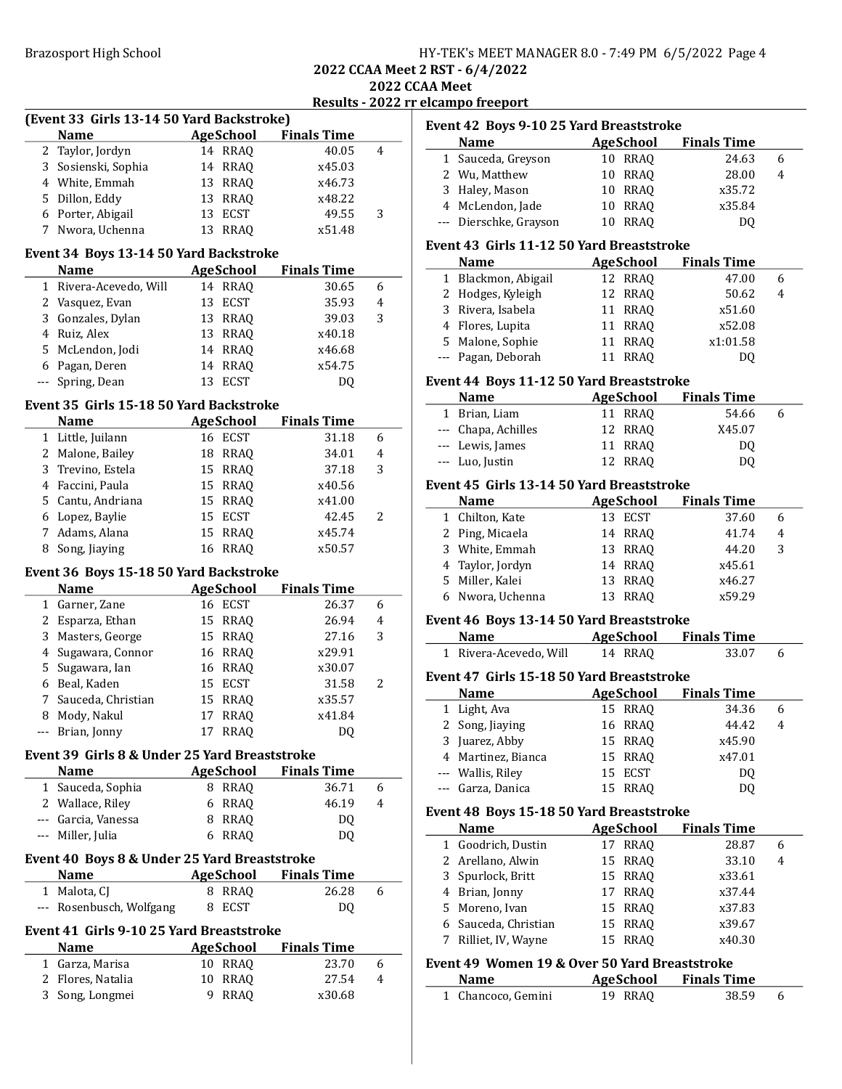| HY-TEK's MEET MANAGER 8.0 - 7:49 PM 6/5/2022 Page 4 |  |  |
|-----------------------------------------------------|--|--|
|-----------------------------------------------------|--|--|

2022 CCAA Meet elcampo freeport and the 2022 results of the 2022 results and 2022 results of the 2022 results of the 2022 results of the 2022 results of the 2022 results of the 2022 results of the 2022 results of the 2022 results of the

|              |                                               |                   |                              | Results - 2022 rr |
|--------------|-----------------------------------------------|-------------------|------------------------------|-------------------|
|              | (Event 33 Girls 13-14 50 Yard Backstroke)     |                   |                              |                   |
|              | <b>Name</b>                                   |                   | <b>AgeSchool Finals Time</b> |                   |
| 2            | Taylor, Jordyn                                | 14 RRAQ           | 40.05                        | 4                 |
|              | 3 Sosienski, Sophia                           | 14 RRAQ           | x45.03                       |                   |
|              | 4 White, Emmah                                | 13 RRAQ           | x46.73                       |                   |
| 5            | Dillon, Eddy                                  | 13 RRAQ           | x48.22                       |                   |
|              | 6 Porter, Abigail                             | 13 ECST           | 49.55                        | 3                 |
| 7            | Nwora, Uchenna                                | 13 RRAQ           | x51.48                       |                   |
|              | Event 34 Boys 13-14 50 Yard Backstroke        |                   |                              |                   |
|              | <b>Name</b>                                   | AgeSchool         | <b>Finals Time</b>           |                   |
| $\mathbf{1}$ | Rivera-Acevedo, Will                          | 14 RRAQ           | 30.65                        | 6                 |
|              | 2 Vasquez, Evan                               | 13 ECST           | 35.93                        | 4                 |
|              | 3 Gonzales, Dylan                             | 13 RRAQ           | 39.03                        | 3                 |
| 4            | Ruiz, Alex                                    | 13 RRAQ           | x40.18                       |                   |
| 5.           | McLendon, Jodi                                | 14 RRAQ           | x46.68                       |                   |
|              | 6 Pagan, Deren                                | 14 RRAQ           | x54.75                       |                   |
|              | --- Spring, Dean                              | 13 ECST           | DQ                           |                   |
|              | Event 35 Girls 15-18 50 Yard Backstroke       |                   |                              |                   |
|              | <b>Name</b>                                   | AgeSchool         | <b>Finals Time</b>           |                   |
|              | 1 Little, Juilann                             | 16 ECST           | 31.18                        | 6                 |
|              | 2 Malone, Bailey                              | 18 RRAQ           | 34.01                        | $\overline{4}$    |
| 3            | Trevino, Estela                               | 15 RRAQ           | 37.18                        | 3                 |
|              | 4 Faccini, Paula                              |                   |                              |                   |
|              |                                               | 15 RRAQ           | x40.56                       |                   |
|              | 5 Cantu, Andriana                             | 15 RRAQ           | x41.00                       |                   |
|              | 6 Lopez, Baylie                               | 15 ECST           | 42.45                        | 2                 |
| $7^{\circ}$  | Adams, Alana                                  | 15 RRAQ           | x45.74                       |                   |
|              | 8 Song, Jiaying                               | 16 RRAQ           | x50.57                       |                   |
|              | Event 36 Boys 15-18 50 Yard Backstroke        |                   |                              |                   |
|              | <b>Name</b>                                   | AgeSchool         | <b>Finals Time</b>           |                   |
|              | 1 Garner, Zane                                | 16 ECST           | 26.37                        | 6                 |
|              | 2 Esparza, Ethan                              | 15 RRAQ           | 26.94                        | 4                 |
| 3            | Masters, George                               | 15 RRAQ           | 27.16                        | 3                 |
| 4            | Sugawara, Connor                              | 16 RRAQ           | x29.91                       |                   |
| 5            | Sugawara, Ian                                 | 16 RRAQ           | x30.07                       |                   |
|              | 6 Beal, Kaden                                 | 15 ECST           | 31.58                        | 2                 |
| $7^{\circ}$  | Sauceda, Christian                            | 15 RRAQ           | x35.57                       |                   |
|              | 8 Mody, Nakul                                 | 17 RRAQ           | x41.84                       |                   |
| ---          | Brian, Jonny                                  | <b>RRAQ</b><br>17 | DQ                           |                   |
|              |                                               |                   |                              |                   |
|              |                                               |                   |                              |                   |
|              | Event 39 Girls 8 & Under 25 Yard Breaststroke |                   |                              |                   |
| 1            | <b>Name</b>                                   | <b>AgeSchool</b>  | <b>Finals Time</b><br>36.71  | 6                 |
|              | Sauceda, Sophia                               | 8 RRAQ            |                              | 4                 |
|              | 2 Wallace, Riley                              | 6 RRAQ            | 46.19                        |                   |
|              | --- Garcia, Vanessa                           | 8 RRAQ            | DQ                           |                   |
| ---          | Miller, Julia                                 | 6 RRAQ            | DQ                           |                   |
|              | Event 40 Boys 8 & Under 25 Yard Breaststroke  |                   |                              |                   |
|              | Name                                          | AgeSchool         | <b>Finals Time</b>           |                   |
|              | 1 Malota, CJ                                  | 8 RRAQ            | 26.28                        | 6                 |
|              | --- Rosenbusch, Wolfgang                      | ECST<br>8         | DQ                           |                   |
|              | Event 41 Girls 9-10 25 Yard Breaststroke      |                   |                              |                   |
|              | Name                                          | <b>AgeSchool</b>  | <b>Finals Time</b>           |                   |
|              | 1 Garza, Marisa                               | 10 RRAQ           | 23.70                        | 6                 |
| 2            | Flores, Natalia                               | 10 RRAQ           | 27.54                        | 4                 |
| 3            | Song, Longmei                                 | 9 RRAQ            | x30.68                       |                   |

| Event 42 Boys 9-10 25 Yard Breaststroke   |                        |    |           |                    |   |  |
|-------------------------------------------|------------------------|----|-----------|--------------------|---|--|
|                                           | <b>Name</b>            |    | AgeSchool | <b>Finals Time</b> |   |  |
|                                           | 1 Sauceda, Greyson     |    | 10 RRAO   | 24.63              | 6 |  |
|                                           | 2 Wu, Matthew          |    | 10 RRAO   | 28.00              | 4 |  |
|                                           | 3 Haley, Mason         |    | 10 RRAO   | x35.72             |   |  |
|                                           | 4 McLendon, Jade       |    | 10 RRAO   | x35.84             |   |  |
|                                           | --- Dierschke, Grayson | 10 | RRAO      | DO.                |   |  |
| Event 43 Girls 11-12 50 Yard Breaststroke |                        |    |           |                    |   |  |
|                                           | <b>Name</b>            |    | AgeSchool | <b>Finals Time</b> |   |  |
| 1                                         | Blackmon, Abigail      |    | 12 RRAO   | 47.00              | 6 |  |

| 1 DIACNIIOII, INJIGAII | 14 WWW  | 77.VV    | ◡ |
|------------------------|---------|----------|---|
| 2 Hodges, Kyleigh      | 12 RRAO | 50.62    | 4 |
| 3 Rivera, Isabela      | 11 RRAO | x51.60   |   |
| 4 Flores, Lupita       | 11 RRAO | x52.08   |   |
| 5 Malone, Sophie       | 11 RRAO | x1:01.58 |   |
| --- Pagan, Deborah     | 11 RRAO | DO.      |   |
|                        |         |          |   |

#### Event 44 Boys 11-12 50 Yard Breaststroke

| <b>Name</b>         | AgeSchool | <b>Finals Time</b> |   |
|---------------------|-----------|--------------------|---|
| 1 Brian, Liam       | 11 RRAO   | 54.66              | h |
| --- Chapa, Achilles | 12 RRAO   | X45.07             |   |
| --- Lewis, James    | 11 RRAO   | DO.                |   |
| --- Luo, Justin     | 12 RRAO   | DO.                |   |

#### Event 45 Girls 13-14 50 Yard Breaststroke

| Name             | AgeSchool | <b>Finals Time</b> |   |
|------------------|-----------|--------------------|---|
| 1 Chilton, Kate  | 13 ECST   | 37.60              | 6 |
| 2 Ping, Micaela  | 14 RRAO   | 41.74              | 4 |
| 3 White, Emmah   | 13 RRAO   | 44.20              | 3 |
| 4 Taylor, Jordyn | 14 RRAO   | x45.61             |   |
| 5 Miller, Kalei  | 13 RRAO   | x46.27             |   |
| 6 Nwora, Uchenna | 13 RRAO   | x59.29             |   |
|                  |           |                    |   |

#### Event 46 Boys 13-14 50 Yard Breaststroke

| Name                   | AgeSchool | <b>Finals Time</b> |  |
|------------------------|-----------|--------------------|--|
| 1 Rivera-Acevedo, Will | 14 RRAO   | 33.07              |  |

# Event 47 Girls 15-18 50 Yard Breaststroke

| <b>Name</b>        | AgeSchool      | <b>Finals Time</b> |   |  |
|--------------------|----------------|--------------------|---|--|
| 1 Light, Ava       | 15 RRAO        | 34.36              | 6 |  |
| 2 Song, Jiaying    | <b>16 RRAO</b> | 44.42              |   |  |
| 3 Juarez, Abby     | 15 RRAO        | x45.90             |   |  |
| 4 Martinez, Bianca | 15 RRAO        | x47.01             |   |  |
| --- Wallis, Riley  | 15 ECST        | DO.                |   |  |
| --- Garza, Danica  | 15 RRAO        | DO.                |   |  |
|                    |                |                    |   |  |

#### Event 48 Boys 15-18 50 Yard Breaststroke

|   | <b>Name</b>          |    | <b>AgeSchool</b> | <b>Finals Time</b> |   |
|---|----------------------|----|------------------|--------------------|---|
|   | 1 Goodrich, Dustin   |    | 17 RRAO          | 28.87              | 6 |
|   | 2 Arellano, Alwin    |    | 15 RRAO          | 33.10              | 4 |
|   | 3 Spurlock, Britt    |    | 15 RRAO          | x33.61             |   |
|   | 4 Brian, Jonny       |    | 17 RRAO          | x37.44             |   |
|   | 5 Moreno, Ivan       |    | 15 RRAO          | x37.83             |   |
|   | 6 Sauceda, Christian |    | 15 RRAO          | x39.67             |   |
| 7 | Rilliet, IV, Wayne   | 15 | RRAO             | x40.30             |   |

### Event 49 Women 19 & Over 50 Yard Breaststroke

| Name               | AgeSchool | <b>Finals Time</b> |  |
|--------------------|-----------|--------------------|--|
| 1 Chancoco, Gemini | 19 RRAO   | 38.59              |  |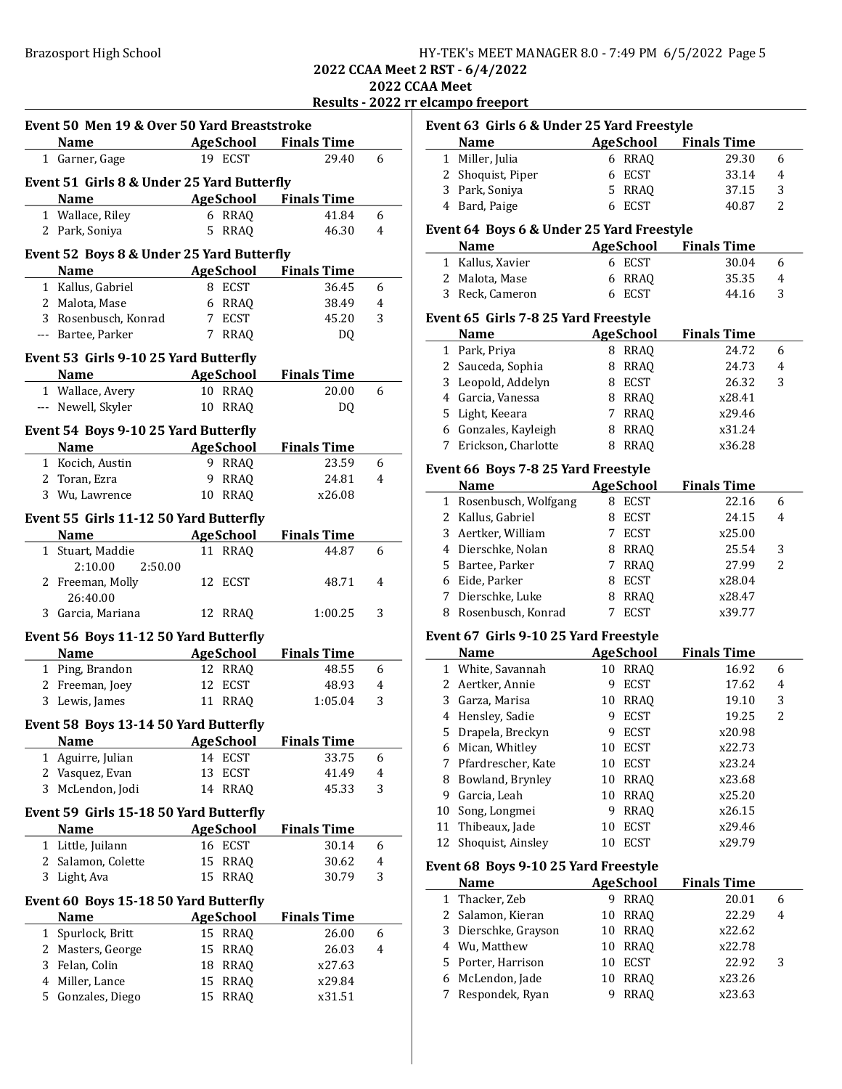2022 CCAA Meet

|  |  | Results - 2022 rr elcampo freeport |
|--|--|------------------------------------|
|  |  |                                    |

|   | Event 50 Men 19 & Over 50 Yard Breaststroke |                   |             |                              |                |
|---|---------------------------------------------|-------------------|-------------|------------------------------|----------------|
|   | <b>Name</b>                                 |                   |             | AgeSchool Finals Time        |                |
|   | 1 Garner, Gage                              | 19 ECST           |             | 29.40                        | 6              |
|   | Event 51 Girls 8 & Under 25 Yard Butterfly  |                   |             |                              |                |
|   | <b>Name</b>                                 |                   |             | <b>AgeSchool</b> Finals Time |                |
|   | 1 Wallace, Riley                            | 6 RRAQ            |             | 41.84                        | 6              |
|   | 2 Park, Soniya                              | 5.                | <b>RRAO</b> | 46.30                        | 4              |
|   |                                             |                   |             |                              |                |
|   | Event 52 Boys 8 & Under 25 Yard Butterfly   |                   |             |                              |                |
|   | Name                                        | AgeSchool         |             | <b>Finals Time</b>           |                |
|   | 1 Kallus, Gabriel                           | 8 ECST            |             | 36.45                        | 6              |
|   | 2 Malota, Mase                              | 6 RRAQ            |             | 38.49                        | 4              |
|   | 3 Rosenbusch, Konrad                        | 7 ECST            |             | 45.20                        | 3              |
|   | --- Bartee, Parker                          | 7                 | <b>RRAQ</b> | DQ.                          |                |
|   | Event 53 Girls 9-10 25 Yard Butterfly       |                   |             |                              |                |
|   | <b>Example 2 AgeSchool</b><br>Name          |                   |             | <b>Finals Time</b>           |                |
|   | 1 Wallace, Avery                            | 10 RRAQ           |             | 20.00                        | 6              |
|   | --- Newell, Skyler                          | 10 RRAQ           |             | DQ                           |                |
|   |                                             |                   |             |                              |                |
|   | Event 54 Boys 9-10 25 Yard Butterfly        |                   |             |                              |                |
|   | <b>Example 2</b> AgeSchool<br><b>Name</b>   |                   |             | <b>Finals Time</b>           |                |
|   | 1 Kocich, Austin                            | 9 RRAQ            |             | 23.59                        | 6              |
|   | 2 Toran, Ezra                               | 9 RRAQ            |             | 24.81                        | 4              |
|   | 3 Wu, Lawrence                              | 10 RRAO           |             | x26.08                       |                |
|   | Event 55 Girls 11-12 50 Yard Butterfly      |                   |             |                              |                |
|   | <b>Name</b>                                 | <b>AgeSchool</b>  |             | <b>Finals Time</b>           |                |
|   | 1 Stuart, Maddie                            | 11 RRAQ           |             | 44.87                        | 6              |
|   | 2:50.00<br>2:10.00                          |                   |             |                              |                |
|   | 2 Freeman, Molly                            | 12 ECST           |             | 48.71                        | 4              |
|   | 26:40.00                                    |                   |             |                              |                |
| 3 | Garcia, Mariana                             | 12 RRAQ           |             | 1:00.25                      | 3              |
|   | Event 56 Boys 11-12 50 Yard Butterfly       |                   |             |                              |                |
|   | <b>Name</b>                                 | <b>AgeSchool</b>  |             | <b>Finals Time</b>           |                |
|   | 1 Ping, Brandon                             | 12 RRAQ           |             | 48.55                        | 6              |
|   | 2 Freeman, Joey                             | 12<br>ECST        |             | 48.93                        | 4              |
|   | 3 Lewis, James                              | 11 RRAQ           |             | 1:05.04                      | 3              |
|   |                                             |                   |             |                              |                |
|   | Event 58 Boys 13-14 50 Yard Butterfly       |                   |             |                              |                |
|   | <b>Name</b>                                 | <b>AgeSchool</b>  |             | <b>Finals Time</b>           |                |
| 1 | Aguirre, Julian                             | 14<br><b>ECST</b> |             | 33.75                        | 6              |
|   | 2 Vasquez, Evan                             | <b>ECST</b><br>13 |             | 41.49                        | $\overline{4}$ |
| 3 | McLendon, Jodi                              | 14                | <b>RRAQ</b> | 45.33                        | 3              |
|   | Event 59 Girls 15-18 50 Yard Butterfly      |                   |             |                              |                |
|   | Name                                        | <b>AgeSchool</b>  |             | <b>Finals Time</b>           |                |
| 1 | Little, Juilann                             | 16 ECST           |             | 30.14                        | 6              |
| 2 | Salamon, Colette                            | 15                | <b>RRAQ</b> | 30.62                        | $\overline{4}$ |
| 3 | Light, Ava                                  | 15                | <b>RRAQ</b> | 30.79                        | 3              |
|   |                                             |                   |             |                              |                |
|   | Event 60 Boys 15-18 50 Yard Butterfly       |                   |             |                              |                |
|   | Name                                        | <b>AgeSchool</b>  |             | <b>Finals Time</b>           |                |
| 1 | Spurlock, Britt                             | 15                | <b>RRAQ</b> | 26.00                        | 6              |
|   | 2 Masters, George                           | 15                | <b>RRAQ</b> | 26.03                        | 4              |
| 3 | Felan, Colin                                | 18                | <b>RRAQ</b> | x27.63                       |                |
| 4 | Miller, Lance                               | 15                | <b>RRAQ</b> | x29.84                       |                |
| 5 | Gonzales, Diego                             | 15                | <b>RRAQ</b> | x31.51                       |                |

|              | Event 63 Girls 6 & Under 25 Yard Freestyle |          |                             |                             |        |
|--------------|--------------------------------------------|----------|-----------------------------|-----------------------------|--------|
|              | <b>Name</b>                                |          | <b>AgeSchool</b>            | <b>Finals Time</b>          |        |
| $\mathbf{1}$ | Miller, Julia                              |          | 6 RRAQ                      | 29.30                       | 6      |
|              | 2 Shoquist, Piper                          | 6        | <b>ECST</b>                 | 33.14                       | 4      |
|              | 3 Park, Soniya                             |          | 5 RRAQ                      | 37.15                       | 3      |
|              | 4 Bard, Paige                              |          | 6 ECST                      | 40.87                       | 2      |
|              | Event 64 Boys 6 & Under 25 Yard Freestyle  |          |                             |                             |        |
|              | Name                                       |          | AgeSchool                   | <b>Finals Time</b>          |        |
|              | 1 Kallus, Xavier                           |          | 6 ECST                      | 30.04                       | 6      |
|              | 2 Malota, Mase                             | 6        | <b>RRAQ</b>                 | 35.35                       | 4      |
|              | 3 Reck, Cameron                            |          | 6 ECST                      | 44.16                       | 3      |
|              | Event 65 Girls 7-8 25 Yard Freestyle       |          |                             |                             |        |
|              | <b>Name</b>                                |          | <b>AgeSchool</b>            | <b>Finals Time</b>          |        |
|              | 1 Park, Priya                              |          | 8 RRAQ                      | 24.72                       | 6      |
|              | 2 Sauceda, Sophia                          |          | 8 RRAQ                      | 24.73                       | 4      |
|              | 3 Leopold, Addelyn                         |          | 8 ECST                      | 26.32                       | 3      |
|              | 4 Garcia, Vanessa                          |          | 8 RRAQ                      | x28.41                      |        |
| 5            | Light, Keeara                              |          | 7 RRAQ                      | x29.46                      |        |
|              | 6 Gonzales, Kayleigh                       |          | 8 RRAQ                      | x31.24                      |        |
| 7            | Erickson, Charlotte                        |          | 8 RRAQ                      | x36.28                      |        |
|              | Event 66 Boys 7-8 25 Yard Freestyle        |          |                             |                             |        |
|              | <b>Name</b>                                |          | <b>AgeSchool</b>            | <b>Finals Time</b>          |        |
|              | 1 Rosenbusch, Wolfgang                     |          | 8 ECST                      | 22.16                       | 6      |
|              | 2 Kallus, Gabriel                          |          | 8 ECST                      | 24.15                       | 4      |
|              |                                            |          |                             | x25.00                      |        |
| 3            | Aertker, William<br>4 Dierschke, Nolan     |          | 7 ECST<br>8 RRAQ            | 25.54                       | 3      |
|              | 5 Bartee, Parker                           |          | 7 RRAQ                      | 27.99                       | 2      |
|              | 6 Eide, Parker                             |          | 8 ECST                      | x28.04                      |        |
|              | 7 Dierschke, Luke                          |          | 8 RRAQ                      | x28.47                      |        |
| 8            | Rosenbusch, Konrad                         | 7        | <b>ECST</b>                 | x39.77                      |        |
|              |                                            |          |                             |                             |        |
|              | Event 67 Girls 9-10 25 Yard Freestyle      |          |                             |                             |        |
|              | Name<br>1 White, Savannah                  |          | <b>AgeSchool</b><br>10 RRAQ | <b>Finals Time</b><br>16.92 | 6      |
|              | 2 Aertker, Annie                           | 9        | <b>ECST</b>                 | 17.62                       | 4      |
|              | 3 Garza, Marisa                            |          |                             |                             |        |
|              | 4 Hensley, Sadie                           | 9        | 10 RRAQ<br><b>ECST</b>      | 19.10<br>19.25              | 3<br>2 |
|              | 5 Drapela, Breckyn                         |          | 9 ECST                      | x20.98                      |        |
|              | 6 Mican, Whitley                           |          | 10 ECST                     | x22.73                      |        |
| 7            | Pfardrescher, Kate                         | 10       | <b>ECST</b>                 | x23.24                      |        |
| 8            | Bowland, Brynley                           | 10       | <b>RRAQ</b>                 | x23.68                      |        |
| 9            | Garcia, Leah                               | 10       | <b>RRAQ</b>                 | x25.20                      |        |
| 10           | Song, Longmei                              | 9.       | <b>RRAQ</b>                 | x26.15                      |        |
| 11           | Thibeaux, Jade                             | 10       | <b>ECST</b>                 | x29.46                      |        |
| 12           | Shoquist, Ainsley                          | 10       | <b>ECST</b>                 | x29.79                      |        |
|              |                                            |          |                             |                             |        |
|              | Event 68 Boys 9-10 25 Yard Freestyle       |          |                             |                             |        |
|              | <b>Name</b><br>Thacker, Zeb                |          | <b>AgeSchool</b>            | <b>Finals Time</b>          |        |
| 1            |                                            |          | 9 RRAQ                      | 20.01                       | 6      |
| 2            | Salamon, Kieran                            | 10       | <b>RRAQ</b>                 | 22.29                       | 4      |
| 3            | Dierschke, Grayson                         | 10       | RRAQ                        | x22.62                      |        |
| 4<br>5       | Wu, Matthew<br>Porter, Harrison            | 10<br>10 | RRAQ<br><b>ECST</b>         | x22.78                      | 3      |
| 6            | McLendon, Jade                             | 10       | <b>RRAQ</b>                 | 22.92<br>x23.26             |        |
| 7            | Respondek, Ryan                            | 9.       | <b>RRAQ</b>                 | x23.63                      |        |
|              |                                            |          |                             |                             |        |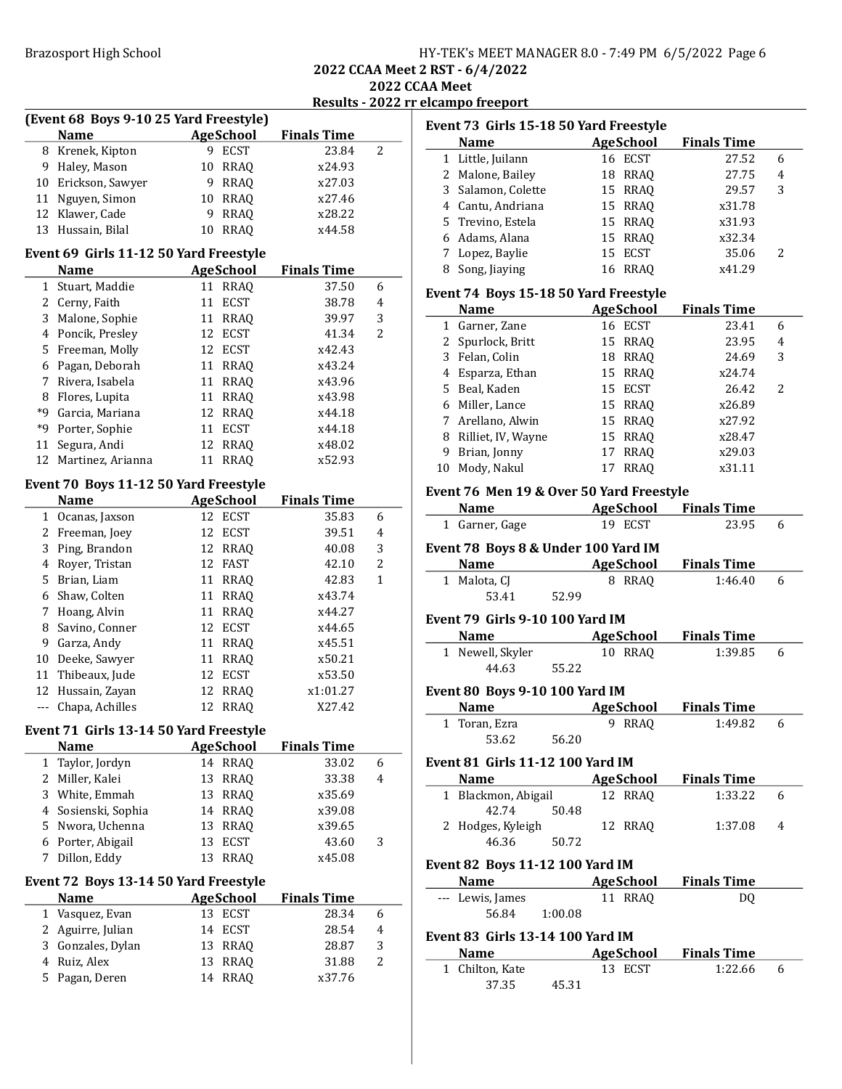| HY-TEK's MEET MANAGER 8.0 - 7:49 PM 6/5/2022 Page 6 |  |  |
|-----------------------------------------------------|--|--|
|-----------------------------------------------------|--|--|

2022 CCAA Meet

| Results - 2022 rr elcampo freeport |
|------------------------------------|
|                                    |

|                | (Event 68 Boys 9-10 25 Yard Freestyle) |                   |                    |                |  |  |  |
|----------------|----------------------------------------|-------------------|--------------------|----------------|--|--|--|
|                | <b>Name</b>                            | <b>AgeSchool</b>  | <b>Finals Time</b> |                |  |  |  |
|                | 8 Krenek, Kipton                       | 9 ECST            | 23.84              | 2              |  |  |  |
| 9              | Haley, Mason                           | <b>RRAQ</b><br>10 | x24.93             |                |  |  |  |
|                | 10 Erickson, Sawyer                    | <b>RRAQ</b><br>9  | x27.03             |                |  |  |  |
|                | 11 Nguyen, Simon                       | 10<br>RRAQ        | x27.46             |                |  |  |  |
|                | 12 Klawer, Cade                        | <b>RRAQ</b><br>9  | x28.22             |                |  |  |  |
|                | 13 Hussain, Bilal                      | <b>RRAQ</b><br>10 | x44.58             |                |  |  |  |
|                | Event 69 Girls 11-12 50 Yard Freestyle |                   |                    |                |  |  |  |
|                | <b>Name</b>                            | <b>AgeSchool</b>  | <b>Finals Time</b> |                |  |  |  |
|                | 1 Stuart, Maddie                       | 11 RRAQ           | 37.50              | 6              |  |  |  |
|                | 2 Cerny, Faith                         | <b>ECST</b><br>11 | 38.78              | 4              |  |  |  |
|                | 3 Malone, Sophie                       | 11 RRAQ           | 39.97              | 3              |  |  |  |
|                | 4 Poncik, Presley                      | ECST<br>12        | 41.34              | 2              |  |  |  |
|                | 5 Freeman, Molly                       | 12<br>ECST        | x42.43             |                |  |  |  |
|                | 6 Pagan, Deborah                       | 11<br>RRAQ        | x43.24             |                |  |  |  |
|                | 7 Rivera, Isabela                      | 11<br><b>RRAQ</b> | x43.96             |                |  |  |  |
|                | 8 Flores, Lupita                       | <b>RRAQ</b><br>11 | x43.98             |                |  |  |  |
|                | *9 Garcia, Mariana                     | 12 RRAQ           | x44.18             |                |  |  |  |
|                | *9 Porter, Sophie                      | <b>ECST</b><br>11 | x44.18             |                |  |  |  |
|                | 11 Segura, Andi                        | 12<br>RRAQ        | x48.02             |                |  |  |  |
|                | 12 Martinez, Arianna                   | <b>RRAQ</b><br>11 | x52.93             |                |  |  |  |
|                | Event 70 Boys 11-12 50 Yard Freestyle  |                   |                    |                |  |  |  |
|                | <b>Name</b>                            | <b>AgeSchool</b>  | <b>Finals Time</b> |                |  |  |  |
|                | 1 Ocanas, Jaxson                       | 12 ECST           | 35.83              | 6              |  |  |  |
|                | 2 Freeman, Joey                        | 12 ECST           | 39.51              | 4              |  |  |  |
|                | 3 Ping, Brandon                        | 12<br>RRAQ        | 40.08              | 3              |  |  |  |
|                | 4 Royer, Tristan                       | 12<br>FAST        | 42.10              | 2              |  |  |  |
|                | 5 Brian, Liam                          | 11<br><b>RRAQ</b> | 42.83              | 1              |  |  |  |
|                | 6 Shaw, Colten                         | 11<br><b>RRAQ</b> | x43.74             |                |  |  |  |
|                | 7 Hoang, Alvin                         | 11<br><b>RRAQ</b> | x44.27             |                |  |  |  |
| 8              | Savino, Conner                         | 12 ECST           | x44.65             |                |  |  |  |
|                | 9 Garza, Andy                          | 11 RRAQ           | x45.51             |                |  |  |  |
|                | 10 Deeke, Sawyer                       | 11 RRAQ           | x50.21             |                |  |  |  |
|                | 11 Thibeaux, Jude                      | 12 ECST           | x53.50             |                |  |  |  |
|                | 12 Hussain, Zayan                      | 12<br>RRAQ        | x1:01.27           |                |  |  |  |
| $---$          | Chapa, Achilles                        | <b>RRAQ</b><br>12 | X27.42             |                |  |  |  |
|                | Event 71 Girls 13-14 50 Yard Freestyle |                   |                    |                |  |  |  |
|                | Name                                   | <b>Age</b> School | <b>Finals Time</b> |                |  |  |  |
| $\mathbf{1}$   | Taylor, Jordyn                         | 14 RRAQ           | 33.02              | 6              |  |  |  |
| 2              | Miller, Kalei                          | 13<br>RRAQ        | 33.38              | 4              |  |  |  |
| 3              | White, Emmah                           | 13<br><b>RRAQ</b> | x35.69             |                |  |  |  |
| 4              | Sosienski, Sophia                      | 14<br><b>RRAQ</b> | x39.08             |                |  |  |  |
| 5              | Nwora, Uchenna                         | <b>RRAQ</b><br>13 | x39.65             |                |  |  |  |
| 6              | Porter, Abigail                        | 13<br><b>ECST</b> | 43.60              | 3              |  |  |  |
| 7              | Dillon, Eddy                           | 13<br><b>RRAQ</b> | x45.08             |                |  |  |  |
|                | Event 72 Boys 13-14 50 Yard Freestyle  |                   |                    |                |  |  |  |
|                | <b>Name</b>                            | <b>AgeSchool</b>  | <b>Finals Time</b> |                |  |  |  |
|                | 1 Vasquez, Evan                        | 13 ECST           | 28.34              | 6              |  |  |  |
|                | 2 Aguirre, Julian                      | 14<br>ECST        | 28.54              | $\overline{4}$ |  |  |  |
| 3              | Gonzales, Dylan                        | 13<br><b>RRAQ</b> | 28.87              | 3              |  |  |  |
| $\overline{4}$ | Ruiz, Alex                             | 13<br>RRAQ        | 31.88              | 2              |  |  |  |
| 5              | Pagan, Deren                           | <b>RRAQ</b><br>14 | x37.76             |                |  |  |  |
|                |                                        |                   |                    |                |  |  |  |

|   | Event 73 Girls 15-18 50 Yard Freestyle   |                              |                    |   |
|---|------------------------------------------|------------------------------|--------------------|---|
|   | Name                                     | <b>AgeSchool</b>             | <b>Finals Time</b> |   |
|   | 1 Little, Juilann                        | 16 ECST                      | 27.52              | 6 |
|   | 2 Malone, Bailey                         | 18 RRAQ                      | 27.75              | 4 |
|   | 3 Salamon, Colette                       | 15 RRAQ                      | 29.57              | 3 |
|   | 4 Cantu, Andriana                        | 15 RRAQ                      | x31.78             |   |
|   | 5 Trevino, Estela                        | 15 RRAQ                      | x31.93             |   |
|   | 6 Adams, Alana                           | 15 RRAQ                      | x32.34             |   |
|   | 7 Lopez, Baylie                          | 15 ECST                      | 35.06              | 2 |
|   | 8 Song, Jiaying                          | 16 RRAQ                      | x41.29             |   |
|   | Event 74 Boys 15-18 50 Yard Freestyle    |                              |                    |   |
|   | <b>Name</b>                              | <b>AgeSchool</b>             | <b>Finals Time</b> |   |
|   | 1 Garner, Zane                           | 16 ECST                      | 23.41              | 6 |
|   | 2 Spurlock, Britt                        | 15 RRAQ                      | 23.95              | 4 |
|   | 3 Felan, Colin                           | 18 RRAQ                      | 24.69              | 3 |
|   | 4 Esparza, Ethan                         | 15 RRAQ                      | x24.74             |   |
|   | 5 Beal, Kaden                            | 15 ECST                      | 26.42              | 2 |
|   | 6 Miller, Lance                          | 15 RRAQ                      | x26.89             |   |
|   | 7 Arellano, Alwin                        | 15 RRAQ                      | x27.92             |   |
|   | 8 Rilliet, IV, Wayne                     | 15 RRAQ                      | x28.47             |   |
|   | 9 Brian, Jonny                           | 17<br><b>RRAQ</b>            | x29.03             |   |
|   | 10 Mody, Nakul                           | 17<br><b>RRAQ</b>            | x31.11             |   |
|   |                                          |                              |                    |   |
|   | Event 76 Men 19 & Over 50 Yard Freestyle |                              |                    |   |
|   | <b>Name</b>                              | AgeSchool                    | <b>Finals Time</b> |   |
|   | 1 Garner, Gage                           | 19 ECST                      | 23.95              | 6 |
|   | Event 78 Boys 8 & Under 100 Yard IM      |                              |                    |   |
|   | Name AgeSchool                           |                              | <b>Finals Time</b> |   |
|   | 1 Malota, CJ                             | 8 RRAQ                       | 1:46.40            | 6 |
|   | 53.41<br>52.99                           |                              |                    |   |
|   | Event 79 Girls 9-10 100 Yard IM          |                              |                    |   |
|   | <b>Name</b>                              | AgeSchool                    | <b>Finals Time</b> |   |
|   | 1 Newell, Skyler                         | 10 RRAQ                      | 1:39.85            | 6 |
|   | 44.63<br>55.22                           |                              |                    |   |
|   |                                          |                              |                    |   |
|   | <b>Event 80 Boys 9-10 100 Yard IM</b>    |                              |                    |   |
|   | <b>Name</b>                              | <b>AgeSchool</b>             | <b>Finals Time</b> |   |
| 1 | Toran, Ezra                              | 9<br><b>RRAO</b>             | 1:49.82            | 6 |
|   | 56.20<br>53.62                           |                              |                    |   |
|   | <b>Event 81 Girls 11-12 100 Yard IM</b>  |                              |                    |   |
|   | <b>Name</b>                              | <b>AgeSchool</b> Finals Time |                    |   |
|   | 1 Blackmon, Abigail                      | 12 RRAQ                      | 1:33.22            | 6 |
|   | 42.74<br>50.48                           |                              |                    |   |
|   | 2 Hodges, Kyleigh                        | 12 RRAQ                      | 1:37.08            | 4 |
|   | 46.36<br>50.72                           |                              |                    |   |
|   | <b>Event 82 Boys 11-12 100 Yard IM</b>   |                              |                    |   |
|   | <b>Name</b>                              | AgeSchool                    | <b>Finals Time</b> |   |
|   |                                          | 11 RRAQ                      |                    |   |
|   | --- Lewis, James<br>56.84<br>1:00.08     |                              | DQ                 |   |
|   |                                          |                              |                    |   |
|   | <b>Event 83 Girls 13-14 100 Yard IM</b>  |                              |                    |   |
|   | Name                                     | <b>AgeSchool</b>             | <b>Finals Time</b> |   |
|   | 1 Chilton, Kate                          | 13 ECST                      | 1:22.66            | 6 |
|   | 37.35<br>45.31                           |                              |                    |   |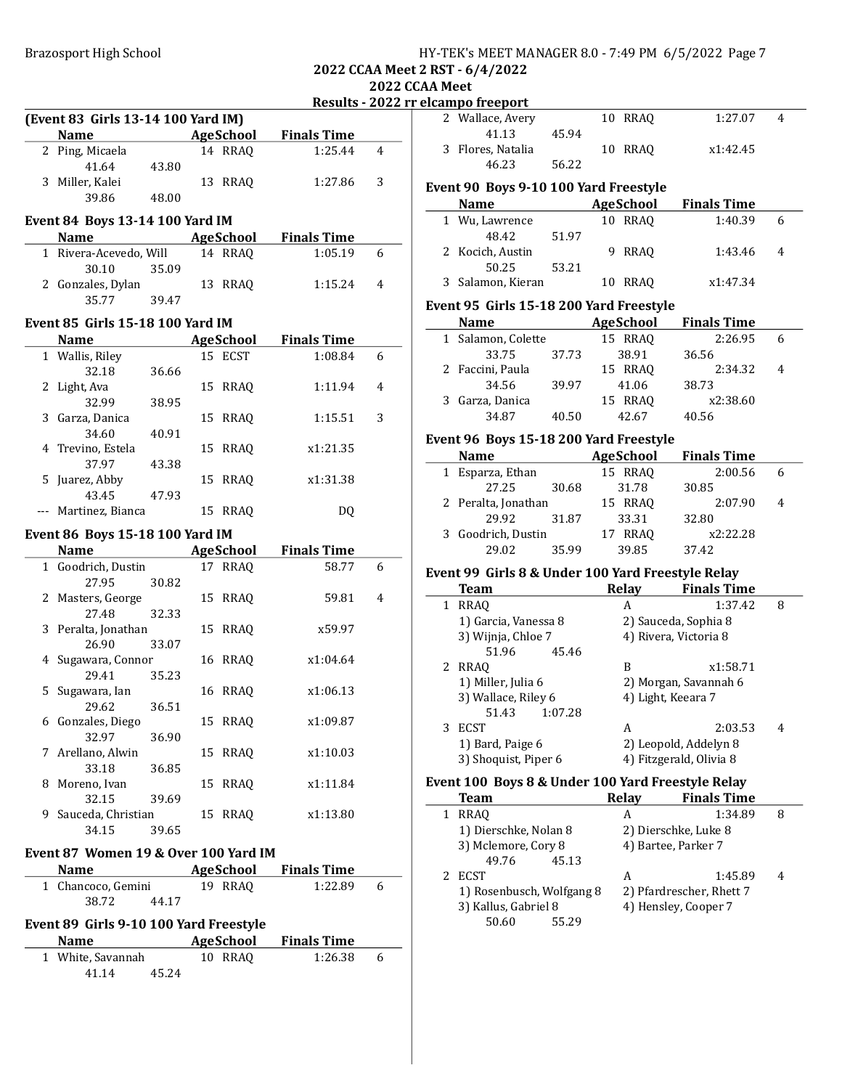| HY-TEK's MEET MANAGER 8.0 - 7:49 PM 6/5/2022 Page 7 |
|-----------------------------------------------------|
|-----------------------------------------------------|

2022 CCAA Meet

#### Results - 2022 rr elcampo freeport

|   |                                         |       |                  | Resuils - 2022 f   |   |
|---|-----------------------------------------|-------|------------------|--------------------|---|
|   | (Event 83 Girls 13-14 100 Yard IM)      |       |                  |                    |   |
|   | <b>Name</b>                             |       | AgeSchool        | <b>Finals Time</b> |   |
|   | 2 Ping, Micaela                         |       | 14 RRAQ          | 1:25.44            | 4 |
|   | 41.64                                   | 43.80 |                  |                    |   |
|   | 3 Miller, Kalei                         |       | 13 RRAQ          | 1:27.86            | 3 |
|   | 39.86                                   | 48.00 |                  |                    |   |
|   |                                         |       |                  |                    |   |
|   | Event 84 Boys 13-14 100 Yard IM         |       |                  |                    |   |
|   | <b>Name</b>                             |       | AgeSchool        | <b>Finals Time</b> |   |
|   | 1 Rivera-Acevedo, Will                  |       | 14 RRAQ          | 1:05.19            | 6 |
|   | 30.10                                   | 35.09 |                  |                    |   |
|   | 2 Gonzales, Dylan                       |       | 13 RRAQ          | 1:15.24            | 4 |
|   | 35.77                                   | 39.47 |                  |                    |   |
|   |                                         |       |                  |                    |   |
|   | <b>Event 85 Girls 15-18 100 Yard IM</b> |       |                  |                    |   |
|   | Name                                    |       | <b>AgeSchool</b> | <b>Finals Time</b> |   |
|   | 1 Wallis, Riley                         |       | 15 ECST          | 1:08.84            | 6 |
|   | 32.18                                   | 36.66 |                  |                    |   |
|   | 2 Light, Ava                            |       | 15 RRAQ          | 1:11.94            | 4 |
|   | 32.99                                   | 38.95 |                  |                    |   |
|   | 3 Garza, Danica                         |       | 15 RRAQ          | 1:15.51            | 3 |
|   | 34.60                                   | 40.91 |                  |                    |   |
|   | 4 Trevino, Estela                       |       | 15 RRAQ          | x1:21.35           |   |
|   | 37.97                                   | 43.38 |                  |                    |   |
| 5 | Juarez, Abby                            |       | 15 RRAQ          | x1:31.38           |   |
|   | 43.45                                   | 47.93 |                  |                    |   |
|   | --- Martinez, Bianca                    |       | 15 RRAQ          | DQ                 |   |
|   |                                         |       |                  |                    |   |
|   | Event 86 Boys 15-18 100 Yard IM         |       |                  |                    |   |
|   |                                         |       | AgeSchool        | <b>Finals Time</b> |   |
|   | 1 Goodrich, Dustin                      |       | 17 RRAQ          | 58.77              | 6 |
|   | 27.95                                   | 30.82 |                  |                    |   |
|   | 2 Masters, George                       |       | 15 RRAQ          | 59.81              | 4 |
|   | 27.48                                   | 32.33 |                  |                    |   |
|   | 3 Peralta, Jonathan                     |       | 15 RRAQ          | x59.97             |   |
|   | 26.90                                   | 33.07 |                  |                    |   |
|   | 4 Sugawara, Connor                      |       | 16 RRAQ          | x1:04.64           |   |
|   | 29.41                                   | 35.23 |                  |                    |   |
|   | 5 Sugawara, Ian                         |       | 16 RRAQ          | x1:06.13           |   |
|   | 29.62                                   | 36.51 |                  |                    |   |
|   | 6 Gonzales, Diego                       |       | 15 RRAQ          | x1:09.87           |   |
|   | 32.97                                   | 36.90 |                  |                    |   |
| 7 | Arellano, Alwin                         |       | 15 RRAQ          | x1:10.03           |   |
|   | 33.18                                   | 36.85 |                  |                    |   |
| 8 | Moreno, Ivan                            |       | 15 RRAQ          | x1:11.84           |   |
|   | 32.15                                   | 39.69 |                  |                    |   |
|   | 9 Sauceda, Christian                    |       | 15 RRAQ          | x1:13.80           |   |
|   | 34.15                                   | 39.65 |                  |                    |   |
|   |                                         |       |                  |                    |   |
|   | Event 87 Women 19 & Over 100 Yard IM    |       |                  |                    |   |
|   | <b>Name</b>                             |       | <b>AgeSchool</b> | <b>Finals Time</b> |   |
|   | 1 Chancoco, Gemini                      |       | 19 RRAQ          | 1:22.89            | 6 |
|   | 38.72                                   | 44.17 |                  |                    |   |
|   |                                         |       |                  |                    |   |
|   | Event 89 Girls 9-10 100 Yard Freestyle  |       |                  |                    |   |
|   |                                         |       |                  |                    |   |
|   | Name                                    |       | AgeSchool        | <b>Finals Time</b> |   |
|   | 1 White, Savannah                       |       | 10 RRAQ          | 1:26.38            | 6 |

| .                                       |                                        |       |  |                  |                    |                |  |
|-----------------------------------------|----------------------------------------|-------|--|------------------|--------------------|----------------|--|
|                                         | <u>elcampo freeport</u>                |       |  |                  |                    |                |  |
|                                         | 2 Wallace, Avery                       |       |  | 10 RRAO          | 1:27.07            | 4              |  |
|                                         | 41.13                                  | 45.94 |  |                  |                    |                |  |
|                                         | 3 Flores, Natalia                      |       |  | 10 RRAO          | x1:42.45           |                |  |
|                                         | 46.23                                  | 56.22 |  |                  |                    |                |  |
|                                         | Event 90 Boys 9-10 100 Yard Freestyle  |       |  |                  |                    |                |  |
|                                         | <b>Name</b>                            |       |  | AgeSchool        | <b>Finals Time</b> |                |  |
|                                         |                                        |       |  |                  |                    |                |  |
|                                         | 1 Wu, Lawrence                         |       |  | 10 RRAQ          | 1:40.39            | 6              |  |
|                                         | 48.42                                  | 51.97 |  |                  |                    |                |  |
|                                         | 2 Kocich, Austin                       |       |  | 9 RRAQ           | 1:43.46            | 4              |  |
|                                         | 50.25                                  | 53.21 |  |                  |                    |                |  |
|                                         | 3 Salamon, Kieran                      |       |  | 10 RRAQ          | x1:47.34           |                |  |
| Event 95 Girls 15-18 200 Yard Freestyle |                                        |       |  |                  |                    |                |  |
|                                         | <b>Name</b>                            |       |  | AgeSchool        | <b>Finals Time</b> |                |  |
|                                         | 1 Salamon, Colette                     |       |  | 15 RRAO          | 2:26.95            | 6              |  |
|                                         | 33.75                                  | 37.73 |  | 38.91            | 36.56              |                |  |
|                                         | 2 Faccini, Paula                       |       |  | 15 RRAQ          | 2:34.32            | $\overline{4}$ |  |
|                                         | 34.56                                  | 39.97 |  | 41.06            | 38.73              |                |  |
|                                         | 3 Garza, Danica                        |       |  | 15 RRAQ          | x2:38.60           |                |  |
|                                         | 34.87                                  | 40.50 |  | 42.67            | 40.56              |                |  |
|                                         | Event 96 Boys 15-18 200 Yard Freestyle |       |  |                  |                    |                |  |
|                                         | <b>Name</b>                            |       |  | <b>AgeSchool</b> | <b>Finals Time</b> |                |  |
|                                         |                                        |       |  |                  |                    |                |  |

|  | Name                |       | AgeSchool | <b>Finals</b> lime |   |  |
|--|---------------------|-------|-----------|--------------------|---|--|
|  | 1 Esparza, Ethan    |       | 15 RRAO   | 2:00.56            | 6 |  |
|  | 27.25               | 30.68 | 31.78     | 30.85              |   |  |
|  | 2 Peralta, Jonathan |       | 15 RRAO   | 2:07.90            | 4 |  |
|  | 29.92               | 31.87 | 33.31     | 32.80              |   |  |
|  | 3 Goodrich, Dustin  |       | 17 RRAO   | x2:22.28           |   |  |
|  | 29.02               | 35.99 | 39.85     | 37.42              |   |  |

### Event 99 Girls 8 & Under 100 Yard Freestyle Relay

| <b>Team</b>          | Relay | <b>Finals Time</b>      |   |
|----------------------|-------|-------------------------|---|
| <b>RRAO</b><br>1     | A     | 1:37.42                 | 8 |
| 1) Garcia, Vanessa 8 |       | 2) Sauceda, Sophia 8    |   |
| 3) Wijnja, Chloe 7   |       | 4) Rivera, Victoria 8   |   |
| 51.96<br>45.46       |       |                         |   |
| RRAO<br>2            | B     | x1:58.71                |   |
| 1) Miller, Julia 6   |       | 2) Morgan, Savannah 6   |   |
| 3) Wallace, Riley 6  |       | 4) Light, Keeara 7      |   |
| 1:07.28<br>51.43     |       |                         |   |
| <b>ECST</b><br>3     | A     | 2:03.53                 | 4 |
| 1) Bard, Paige 6     |       | 2) Leopold, Addelyn 8   |   |
| 3) Shoquist, Piper 6 |       | 4) Fitzgerald, Olivia 8 |   |

# Event 100 Boys 8 & Under 100 Yard Freestyle Relay

| Team                      | Relay | <b>Finals Time</b>       |   |
|---------------------------|-------|--------------------------|---|
| <b>RRAO</b>               | А     | 1:34.89                  | 8 |
| 1) Dierschke, Nolan 8     |       | 2) Dierschke, Luke 8     |   |
| 3) Mclemore, Cory 8       |       | 4) Bartee, Parker 7      |   |
| 49.76<br>45.13            |       |                          |   |
| <b>ECST</b>               | А     | 1:45.89                  | 4 |
| 1) Rosenbusch, Wolfgang 8 |       | 2) Pfardrescher, Rhett 7 |   |
| 3) Kallus, Gabriel 8      |       | 4) Hensley, Cooper 7     |   |
| 50.60<br>55.29            |       |                          |   |